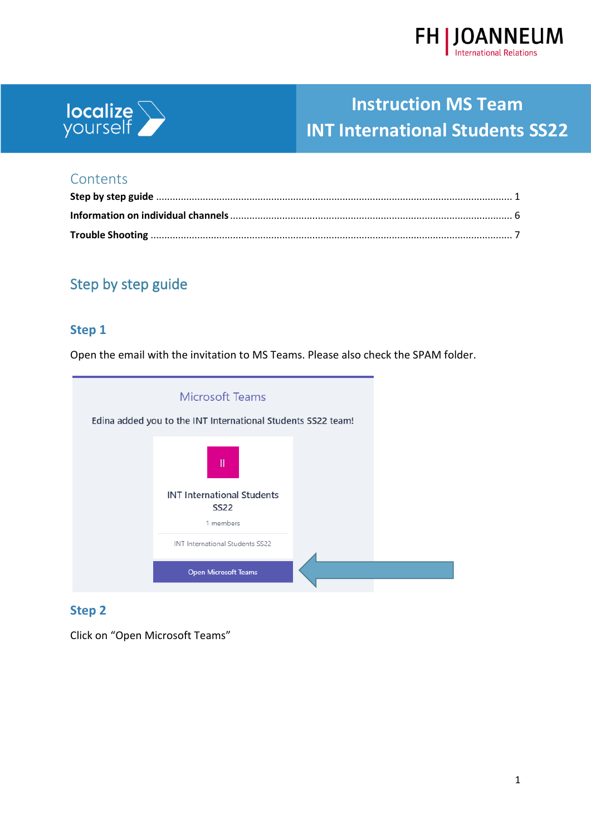



#### **Contents**

### <span id="page-0-0"></span>Step by step guide

#### **Step 1**

Open the email with the invitation to MS Teams. Please also check the SPAM folder.

| <b>Microsoft Teams</b><br>Edina added you to the INT International Students SS22 team! |  |
|----------------------------------------------------------------------------------------|--|
| Ш                                                                                      |  |
| <b>INT International Students</b><br><b>SS22</b><br>1 members                          |  |
| INT International Students SS22                                                        |  |
| <b>Open Microsoft Teams</b>                                                            |  |

#### **Step 2**

Click on "Open Microsoft Teams"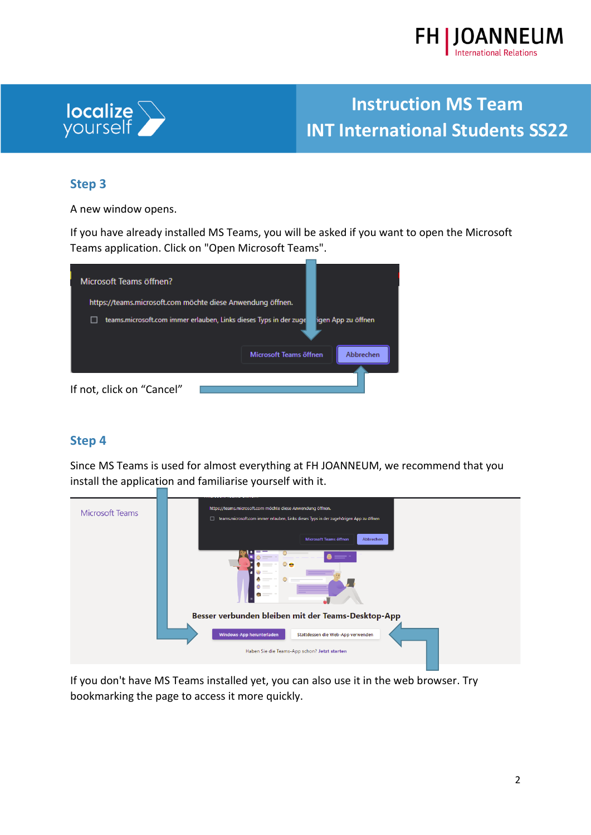



#### **Step 3**

A new window opens.

If you have already installed MS Teams, you will be asked if you want to open the Microsoft Teams application. Click on "Open Microsoft Teams".



#### **Step 4**

Since MS Teams is used for almost everything at FH JOANNEUM, we recommend that you install the application and familiarise yourself with it.



If you don't have MS Teams installed yet, you can also use it in the web browser. Try bookmarking the page to access it more quickly.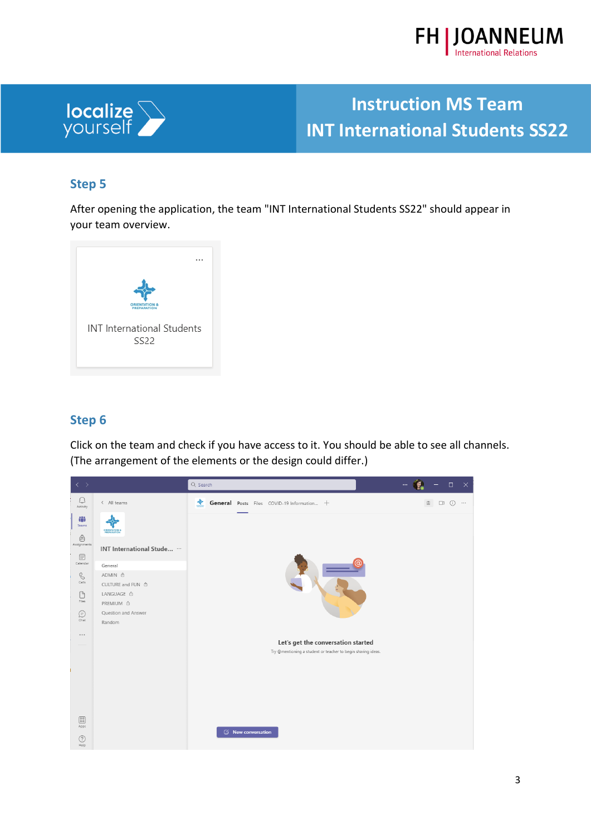



#### **Step 5**

After opening the application, the team "INT International Students SS22" should appear in your team overview.



#### **Step 6**

Click on the team and check if you have access to it. You should be able to see all channels. (The arrangement of the elements or the design could differ.)

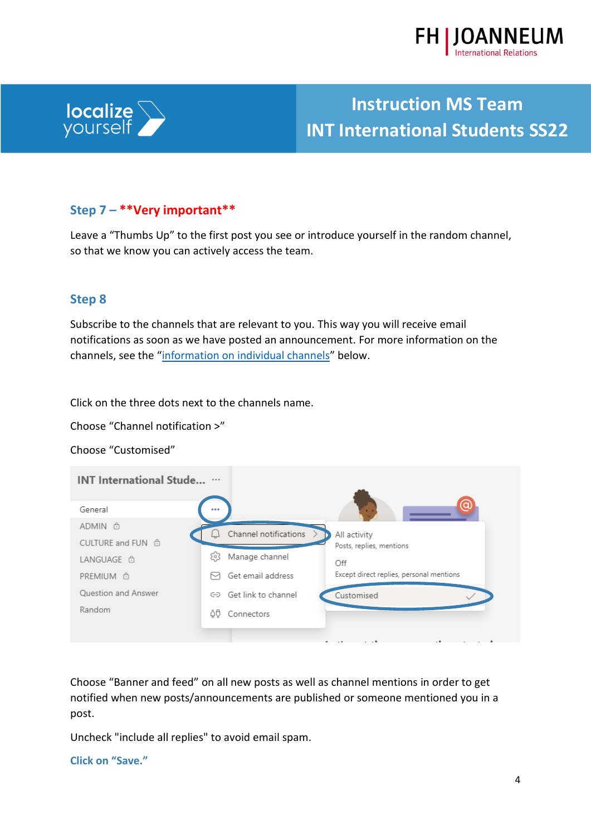



#### **Step 7 – \*\*Very important\*\***

Leave a "Thumbs Up" to the first post you see or introduce yourself in the random channel, so that we know you can actively access the team.

#### **Step 8**

Subscribe to the channels that are relevant to you. This way you will receive email notifications as soon as we have posted an announcement. For more information on the channels, see the "[information on individual channels](#page-5-0)" below.

Click on the three dots next to the channels name.

Choose "Channel notification >"

Choose "Customised"

| <b>INT International Stude</b>                |                                                                                             |  |
|-----------------------------------------------|---------------------------------------------------------------------------------------------|--|
| General<br>ADMIN <sup>6</sup>                 | $\cdots$                                                                                    |  |
| CULTURE and FUN @                             | Channel notifications ><br>All activity<br>Posts, replies, mentions                         |  |
| LANGUAGE <sup>6</sup><br>PREMIUM <sup>6</sup> | ස<br>Manage channel<br>Off<br>Except direct replies, personal mentions<br>Get email address |  |
| Question and Answer<br>Random                 | Get link to channel<br>Customised<br>⊖<br>ÖÖ.<br>Connectors                                 |  |
|                                               |                                                                                             |  |

Choose "Banner and feed" on all new posts as well as channel mentions in order to get notified when new posts/announcements are published or someone mentioned you in a post.

Uncheck "include all replies" to avoid email spam.

**Click on "Save."**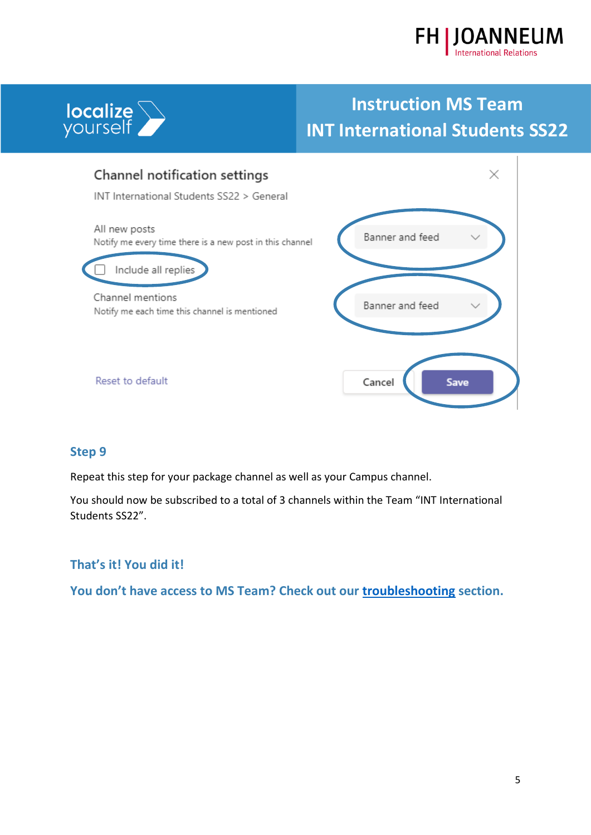





#### **Step 9**

Repeat this step for your package channel as well as your Campus channel.

You should now be subscribed to a total of 3 channels within the Team "INT International Students SS22".

#### **That's it! You did it!**

<span id="page-4-0"></span>**You don't have access to MS Team? Check out our [troubleshooting](#page-6-0) section.**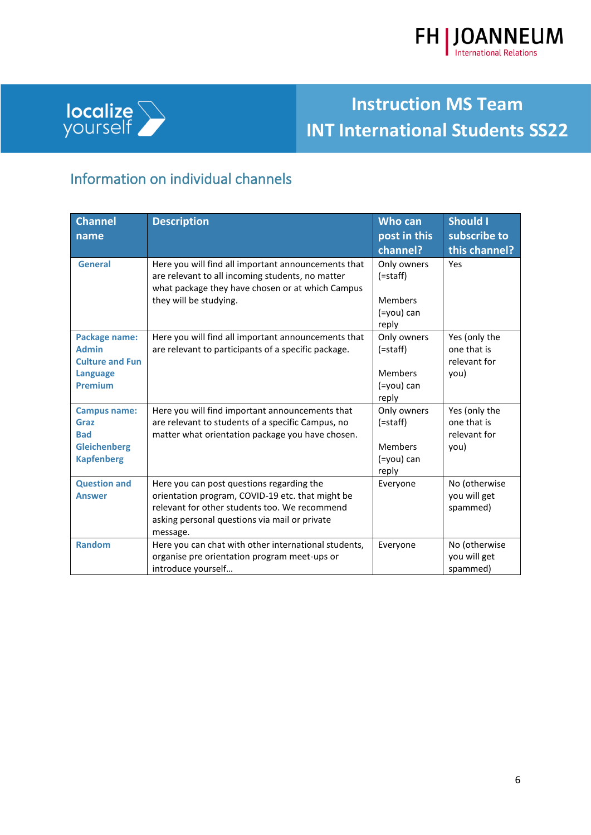



l.

# **Instruction MS Team INT International Students SS22**

### <span id="page-5-0"></span>Information on individual channels

| <b>Channel</b>                                                                               | <b>Description</b>                                                                                                                                                                                          | <b>Who can</b>                                                         | <b>Should I</b>                                      |
|----------------------------------------------------------------------------------------------|-------------------------------------------------------------------------------------------------------------------------------------------------------------------------------------------------------------|------------------------------------------------------------------------|------------------------------------------------------|
| name                                                                                         |                                                                                                                                                                                                             | post in this                                                           | subscribe to                                         |
|                                                                                              |                                                                                                                                                                                                             | channel?                                                               | this channel?                                        |
| <b>General</b>                                                                               | Here you will find all important announcements that<br>are relevant to all incoming students, no matter<br>what package they have chosen or at which Campus<br>they will be studying.                       | Only owners<br>$($ =staff $)$<br><b>Members</b><br>(=you) can<br>reply | Yes                                                  |
| Package name:<br><b>Admin</b><br><b>Culture and Fun</b><br><b>Language</b><br><b>Premium</b> | Here you will find all important announcements that<br>are relevant to participants of a specific package.                                                                                                  | Only owners<br>$($ =staff $)$<br><b>Members</b><br>(=you) can<br>reply | Yes (only the<br>one that is<br>relevant for<br>you) |
| <b>Campus name:</b><br>Graz<br><b>Bad</b><br><b>Gleichenberg</b><br><b>Kapfenberg</b>        | Here you will find important announcements that<br>are relevant to students of a specific Campus, no<br>matter what orientation package you have chosen.                                                    | Only owners<br>$($ =staff $)$<br><b>Members</b><br>(=you) can<br>reply | Yes (only the<br>one that is<br>relevant for<br>you) |
| <b>Question and</b><br><b>Answer</b>                                                         | Here you can post questions regarding the<br>orientation program, COVID-19 etc. that might be<br>relevant for other students too. We recommend<br>asking personal questions via mail or private<br>message. | Everyone                                                               | No (otherwise<br>you will get<br>spammed)            |
| <b>Random</b>                                                                                | Here you can chat with other international students,<br>organise pre orientation program meet-ups or<br>introduce yourself                                                                                  | Everyone                                                               | No (otherwise<br>you will get<br>spammed)            |